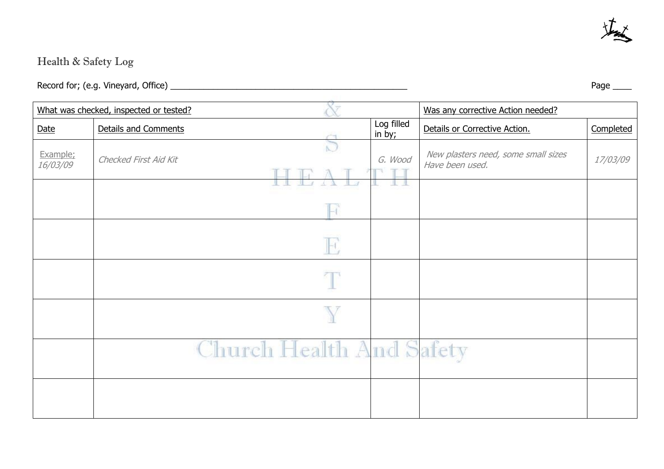

## Health & Safety Log

Record for; (e.g. Vineyard, Office) \_\_\_\_\_\_\_\_\_\_\_\_\_\_\_\_\_\_\_\_\_\_\_\_\_\_\_\_\_\_\_\_\_\_\_\_\_\_\_\_\_\_\_\_\_\_\_\_\_\_ Page \_\_\_\_

| What was checked, inspected or tested? |                          |  |                      | Was any corrective Action needed?                      |           |
|----------------------------------------|--------------------------|--|----------------------|--------------------------------------------------------|-----------|
| Date                                   | Details and Comments     |  | Log filled<br>in by; | Details or Corrective Action.                          | Completed |
| Example;<br><i>16/03/09</i>            | Checked First Aid Kit    |  | G. Wood              | New plasters need, some small sizes<br>Have been used. | 17/03/09  |
|                                        |                          |  |                      |                                                        |           |
|                                        |                          |  |                      |                                                        |           |
|                                        |                          |  |                      |                                                        |           |
|                                        |                          |  |                      |                                                        |           |
|                                        | Church Health And Safety |  |                      |                                                        |           |
|                                        |                          |  |                      |                                                        |           |